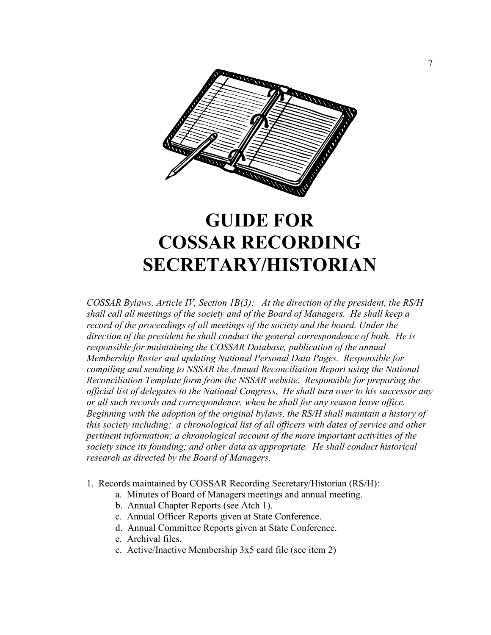

## **GUIDE FOR COSSAR RECORDIG SECRETARY/HISTORIAN**

*COSSAR Bylaws, Article IV, Section 1B(3): At the direction of the president, the RS/H shall call all meetings of the society and of the Board of Managers. He shall keep a record of the proceedings of all meetings of the society and the board. Under the direction of the president he shall conduct the general correspondence of both. He is responsible for maintaining the COSSAR Database, publication of the annual Membership Roster and updating 1ational Personal Data Pages. Responsible for compiling and sending to NSSAR the Annual Reconciliation Report using the National Reconciliation Template form from the 1SSAR website. Responsible for preparing the official list of delegates to the 1ational Congress. He shall turn over to his successor any or all such records and correspondence, when he shall for any reason leave office. Beginning with the adoption of the original bylaws, the RS/H shall maintain a history of this society including: a chronological list of all officers with dates of service and other pertinent information; a chronological account of the more important activities of the society since its founding; and other data as appropriate. He shall conduct historical research as directed by the Board of Managers.* 

- 1. Records maintained by COSSAR Recording Secretary/Historian (RS/H):
	- a. Minutes of Board of Managers meetings and annual meeting.
	- b. Annual Chapter Reports (see Atch 1).
	- c. Annual Officer Reports given at State Conference.
	- d. Annual Committee Reports given at State Conference.
	- e. Archival files.
	- e. Active/Inactive Membership 3x5 card file (see item 2)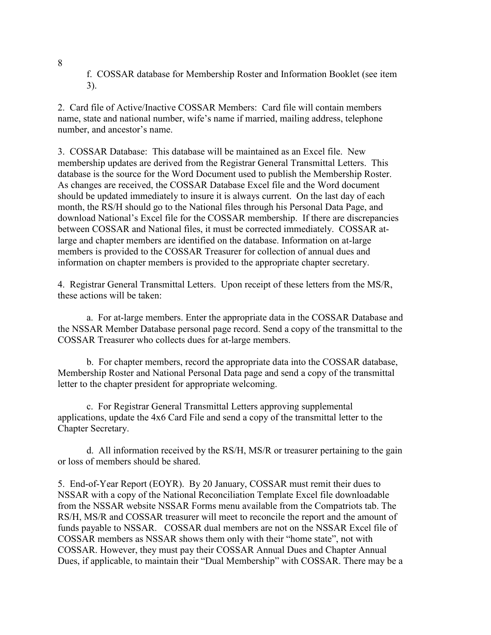f. COSSAR database for Membership Roster and Information Booklet (see item 3).

2. Card file of Active/Inactive COSSAR Members: Card file will contain members name, state and national number, wife's name if married, mailing address, telephone number, and ancestor's name.

3. COSSAR Database: This database will be maintained as an Excel file. New membership updates are derived from the Registrar General Transmittal Letters. This database is the source for the Word Document used to publish the Membership Roster. As changes are received, the COSSAR Database Excel file and the Word document should be updated immediately to insure it is always current. On the last day of each month, the RS/H should go to the National files through his Personal Data Page, and download National's Excel file for the COSSAR membership. If there are discrepancies between COSSAR and National files, it must be corrected immediately. COSSAR atlarge and chapter members are identified on the database. Information on at-large members is provided to the COSSAR Treasurer for collection of annual dues and information on chapter members is provided to the appropriate chapter secretary.

4. Registrar General Transmittal Letters. Upon receipt of these letters from the MS/R, these actions will be taken:

 a. For at-large members. Enter the appropriate data in the COSSAR Database and the NSSAR Member Database personal page record. Send a copy of the transmittal to the COSSAR Treasurer who collects dues for at-large members.

 b. For chapter members, record the appropriate data into the COSSAR database, Membership Roster and National Personal Data page and send a copy of the transmittal letter to the chapter president for appropriate welcoming.

 c. For Registrar General Transmittal Letters approving supplemental applications, update the 4x6 Card File and send a copy of the transmittal letter to the Chapter Secretary.

 d. All information received by the RS/H, MS/R or treasurer pertaining to the gain or loss of members should be shared.

5. End-of-Year Report (EOYR). By 20 January, COSSAR must remit their dues to NSSAR with a copy of the National Reconciliation Template Excel file downloadable from the NSSAR website NSSAR Forms menu available from the Compatriots tab. The RS/H, MS/R and COSSAR treasurer will meet to reconcile the report and the amount of funds payable to NSSAR. COSSAR dual members are not on the NSSAR Excel file of COSSAR members as NSSAR shows them only with their "home state", not with COSSAR. However, they must pay their COSSAR Annual Dues and Chapter Annual Dues, if applicable, to maintain their "Dual Membership" with COSSAR. There may be a

8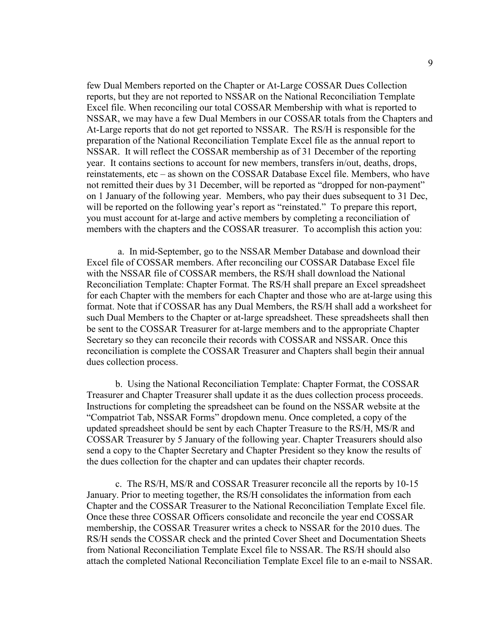few Dual Members reported on the Chapter or At-Large COSSAR Dues Collection reports, but they are not reported to NSSAR on the National Reconciliation Template Excel file. When reconciling our total COSSAR Membership with what is reported to NSSAR, we may have a few Dual Members in our COSSAR totals from the Chapters and At-Large reports that do not get reported to NSSAR. The RS/H is responsible for the preparation of the National Reconciliation Template Excel file as the annual report to NSSAR. It will reflect the COSSAR membership as of 31 December of the reporting year. It contains sections to account for new members, transfers in/out, deaths, drops, reinstatements, etc – as shown on the COSSAR Database Excel file. Members, who have not remitted their dues by 31 December, will be reported as "dropped for non-payment" on 1 January of the following year. Members, who pay their dues subsequent to 31 Dec, will be reported on the following year's report as "reinstated." To prepare this report, you must account for at-large and active members by completing a reconciliation of members with the chapters and the COSSAR treasurer. To accomplish this action you:

 a. In mid-September, go to the NSSAR Member Database and download their Excel file of COSSAR members. After reconciling our COSSAR Database Excel file with the NSSAR file of COSSAR members, the RS/H shall download the National Reconciliation Template: Chapter Format. The RS/H shall prepare an Excel spreadsheet for each Chapter with the members for each Chapter and those who are at-large using this format. Note that if COSSAR has any Dual Members, the RS/H shall add a worksheet for such Dual Members to the Chapter or at-large spreadsheet. These spreadsheets shall then be sent to the COSSAR Treasurer for at-large members and to the appropriate Chapter Secretary so they can reconcile their records with COSSAR and NSSAR. Once this reconciliation is complete the COSSAR Treasurer and Chapters shall begin their annual dues collection process.

 b. Using the National Reconciliation Template: Chapter Format, the COSSAR Treasurer and Chapter Treasurer shall update it as the dues collection process proceeds. Instructions for completing the spreadsheet can be found on the NSSAR website at the "Compatriot Tab, NSSAR Forms" dropdown menu. Once completed, a copy of the updated spreadsheet should be sent by each Chapter Treasure to the RS/H, MS/R and COSSAR Treasurer by 5 January of the following year. Chapter Treasurers should also send a copy to the Chapter Secretary and Chapter President so they know the results of the dues collection for the chapter and can updates their chapter records.

 c. The RS/H, MS/R and COSSAR Treasurer reconcile all the reports by 10-15 January. Prior to meeting together, the RS/H consolidates the information from each Chapter and the COSSAR Treasurer to the National Reconciliation Template Excel file. Once these three COSSAR Officers consolidate and reconcile the year end COSSAR membership, the COSSAR Treasurer writes a check to NSSAR for the 2010 dues. The RS/H sends the COSSAR check and the printed Cover Sheet and Documentation Sheets from National Reconciliation Template Excel file to NSSAR. The RS/H should also attach the completed National Reconciliation Template Excel file to an e-mail to NSSAR.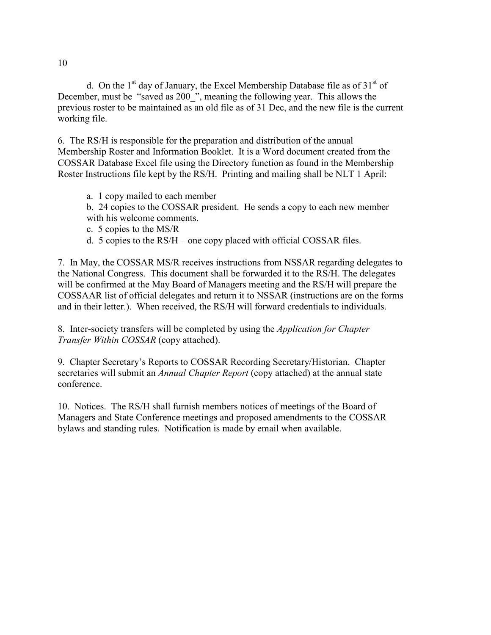d. On the  $1<sup>st</sup>$  day of January, the Excel Membership Database file as of  $31<sup>st</sup>$  of December, must be "saved as 200", meaning the following year. This allows the previous roster to be maintained as an old file as of 31 Dec, and the new file is the current working file.

6. The RS/H is responsible for the preparation and distribution of the annual Membership Roster and Information Booklet. It is a Word document created from the COSSAR Database Excel file using the Directory function as found in the Membership Roster Instructions file kept by the RS/H. Printing and mailing shall be NLT 1 April:

- a. 1 copy mailed to each member
- b. 24 copies to the COSSAR president. He sends a copy to each new member with his welcome comments.
- c. 5 copies to the MS/R
- d. 5 copies to the RS/H one copy placed with official COSSAR files.

7. In May, the COSSAR MS/R receives instructions from NSSAR regarding delegates to the National Congress. This document shall be forwarded it to the RS/H. The delegates will be confirmed at the May Board of Managers meeting and the RS/H will prepare the COSSAAR list of official delegates and return it to NSSAR (instructions are on the forms and in their letter.). When received, the RS/H will forward credentials to individuals.

8. Inter-society transfers will be completed by using the *Application for Chapter Transfer Within COSSAR* (copy attached).

9. Chapter Secretary's Reports to COSSAR Recording Secretary/Historian. Chapter secretaries will submit an *Annual Chapter Report* (copy attached) at the annual state conference.

10. Notices. The RS/H shall furnish members notices of meetings of the Board of Managers and State Conference meetings and proposed amendments to the COSSAR bylaws and standing rules. Notification is made by email when available.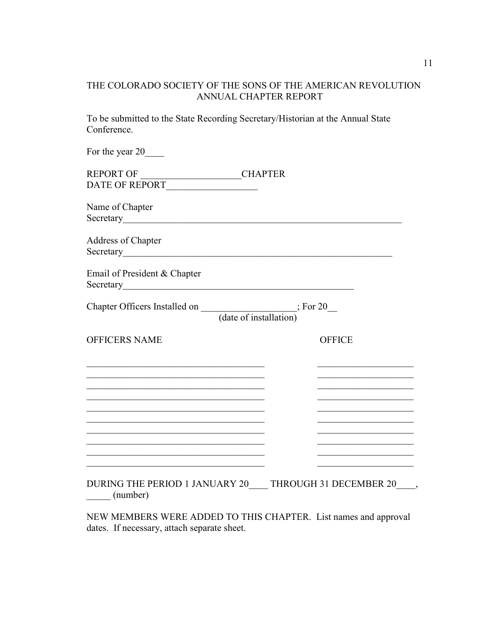## THE COLORADO SOCIETY OF THE SONS OF THE AMERICAN REVOLUTION ANNUAL CHAPTER REPORT

To be submitted to the State Recording Secretary/Historian at the Annual State Conference.

| For the year 20                                                                                                        |                                                                                                                       |
|------------------------------------------------------------------------------------------------------------------------|-----------------------------------------------------------------------------------------------------------------------|
|                                                                                                                        |                                                                                                                       |
| REPORT OF CHAPTER<br>DATE OF REPORT                                                                                    |                                                                                                                       |
| Name of Chapter                                                                                                        |                                                                                                                       |
|                                                                                                                        |                                                                                                                       |
| Address of Chapter                                                                                                     |                                                                                                                       |
| Email of President & Chapter                                                                                           |                                                                                                                       |
| Chapter Officers Installed on $\frac{\phantom{+}}{\phantom{+}}$ (date of installation) For 20                          |                                                                                                                       |
| <b>OFFICERS NAME</b>                                                                                                   | <b>OFFICE</b>                                                                                                         |
|                                                                                                                        | <u> 1989 - Johann John Stone, mars eta bainar e</u>                                                                   |
| <u> 1989 - Johann John Stein, market fan it ferskearre fan it ferskearre fan it ferskearre fan it ferskearre fan i</u> | <u> 1989 - Johann Harry Harry Harry Harry Harry Harry Harry Harry Harry Harry Harry Harry Harry Harry Harry Harry</u> |
|                                                                                                                        |                                                                                                                       |
|                                                                                                                        | <u> 1989 - Johann John Stone, markin sanadi shirta mashrida na shekara ta 1989 - An tsara tsara tsara tsara tsar</u>  |
|                                                                                                                        |                                                                                                                       |
|                                                                                                                        | <u> 1989 - Johann Barbara, martxa a</u>                                                                               |
|                                                                                                                        |                                                                                                                       |
| (number)                                                                                                               | DURING THE PERIOD 1 JANUARY 20 THROUGH 31 DECEMBER 20                                                                 |

NEW MEMBERS WERE ADDED TO THIS CHAPTER. List names and approval dates. If necessary, attach separate sheet.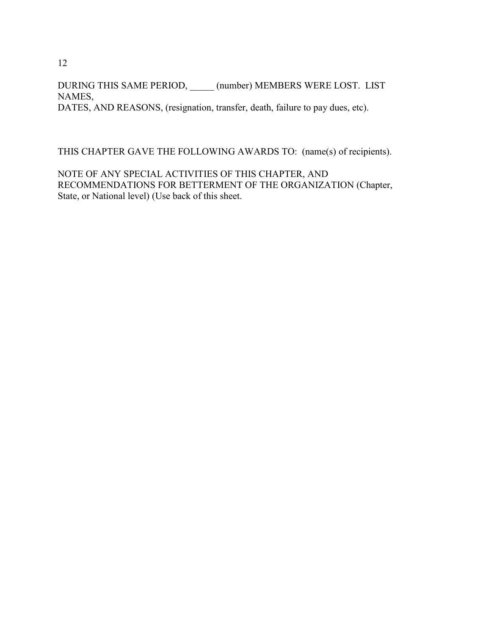DURING THIS SAME PERIOD, \_\_\_\_\_ (number) MEMBERS WERE LOST. LIST NAMES, DATES, AND REASONS, (resignation, transfer, death, failure to pay dues, etc).

THIS CHAPTER GAVE THE FOLLOWING AWARDS TO: (name(s) of recipients).

NOTE OF ANY SPECIAL ACTIVITIES OF THIS CHAPTER, AND RECOMMENDATIONS FOR BETTERMENT OF THE ORGANIZATION (Chapter, State, or National level) (Use back of this sheet.